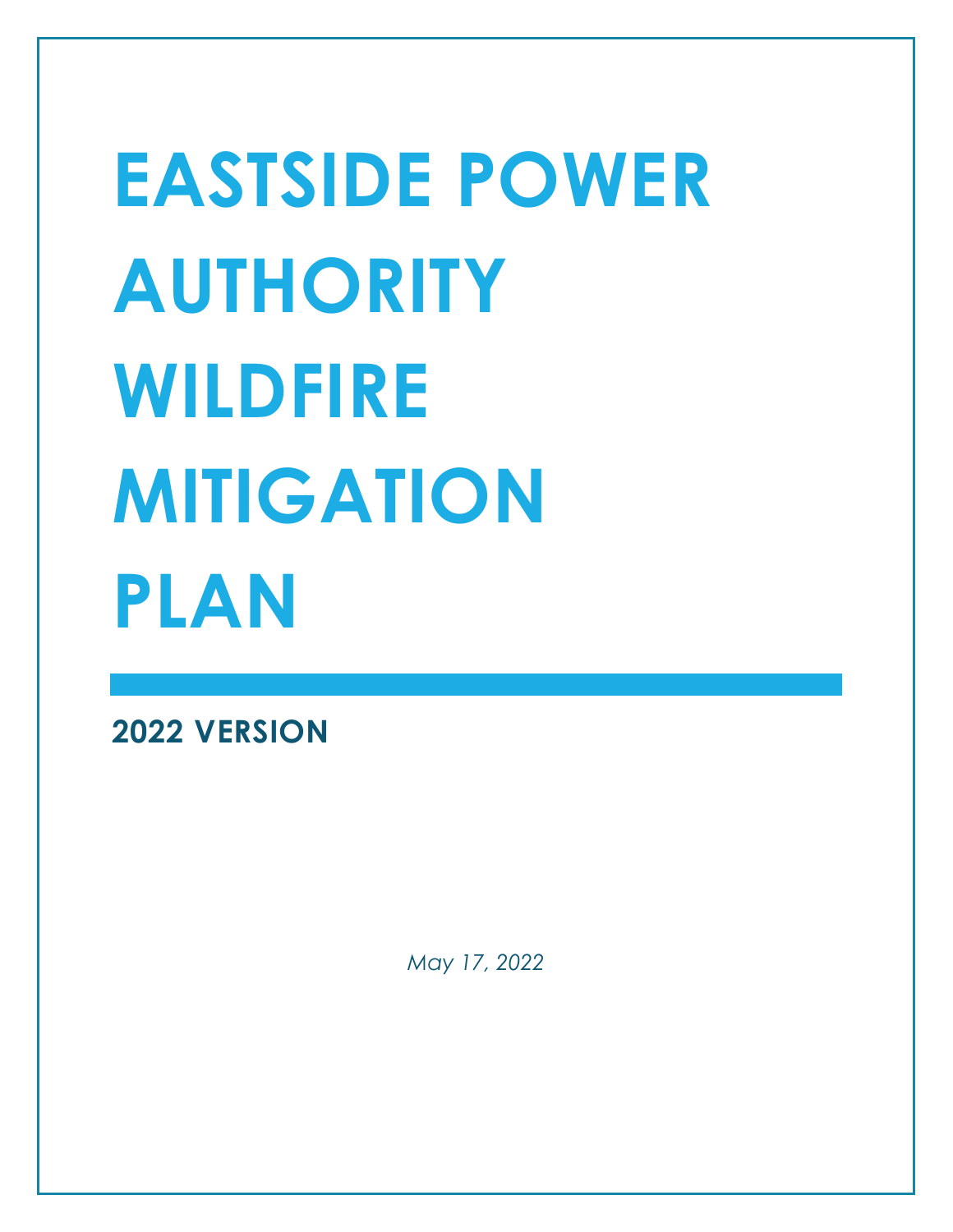# **EASTSIDE POWER AUTHORITY WILDFIRE MITIGATION PLAN**

**2022 VERSION** 

*May 17, 2022*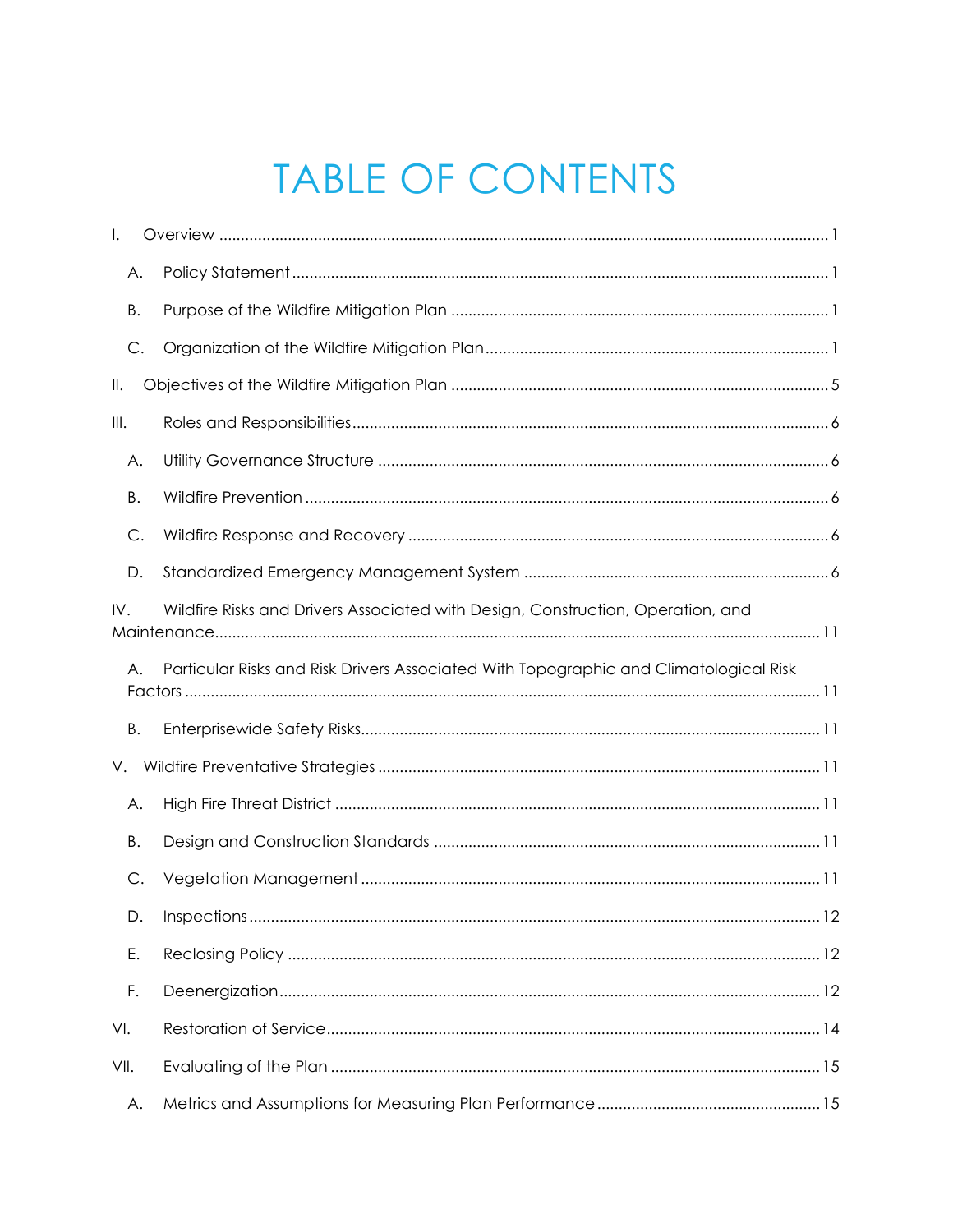# **TABLE OF CONTENTS**

| I.        |                                                                                       |
|-----------|---------------------------------------------------------------------------------------|
| А.        |                                                                                       |
| Β.        |                                                                                       |
| C.        |                                                                                       |
| Ⅱ.        |                                                                                       |
| III.      |                                                                                       |
| Α.        |                                                                                       |
| Β.        |                                                                                       |
| C.        |                                                                                       |
| D.        |                                                                                       |
| IV.       | Wildfire Risks and Drivers Associated with Design, Construction, Operation, and       |
| $A_{1}$   | Particular Risks and Risk Drivers Associated With Topographic and Climatological Risk |
| <b>B.</b> |                                                                                       |
| V.        |                                                                                       |
| Α.        |                                                                                       |
| Β.        |                                                                                       |
| С.        |                                                                                       |
| D.        | 12                                                                                    |
| Ε.        |                                                                                       |
| F.        |                                                                                       |
| VI.       |                                                                                       |
| VII.      |                                                                                       |
| А.        |                                                                                       |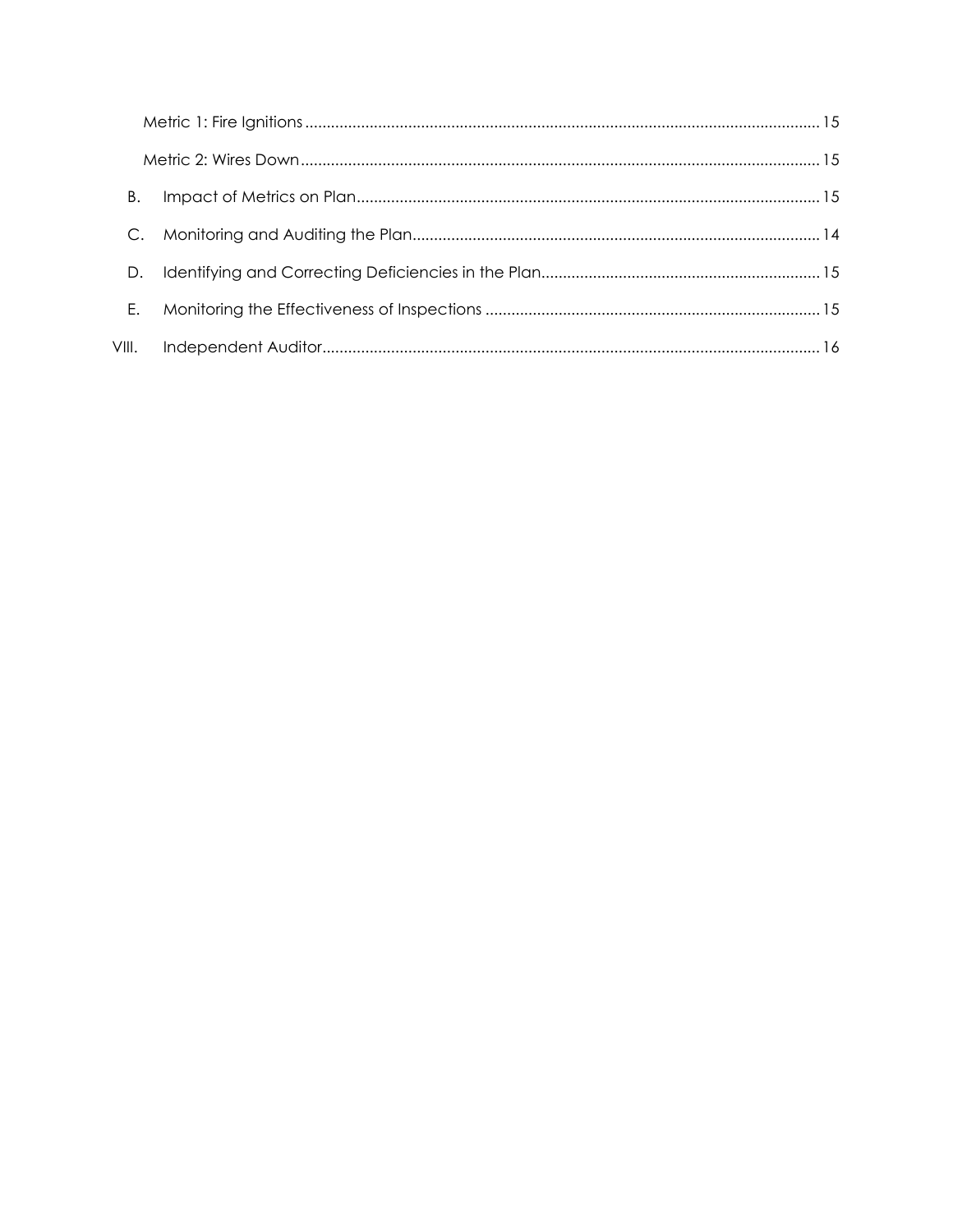|       | Β. |  |
|-------|----|--|
|       |    |  |
|       | D. |  |
|       | Ε. |  |
| VIII. |    |  |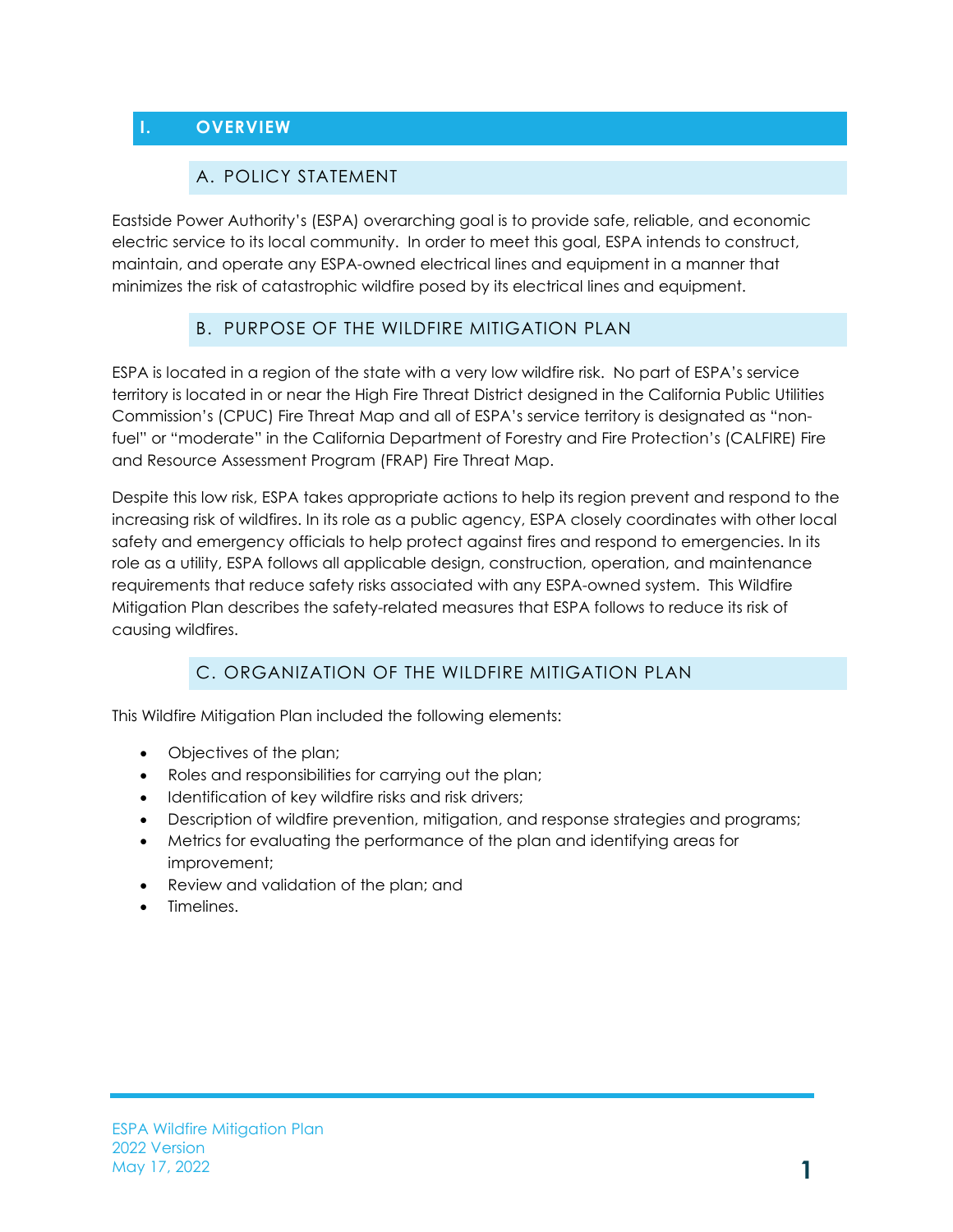# <span id="page-3-1"></span><span id="page-3-0"></span>**I. OVERVIEW**

#### A. POLICY STATEMENT

Eastside Power Authority's (ESPA) overarching goal is to provide safe, reliable, and economic electric service to its local community. In order to meet this goal, ESPA intends to construct, maintain, and operate any ESPA-owned electrical lines and equipment in a manner that minimizes the risk of catastrophic wildfire posed by its electrical lines and equipment.

# B. PURPOSE OF THE WILDFIRE MITIGATION PLAN

<span id="page-3-2"></span>ESPA is located in a region of the state with a very low wildfire risk. No part of ESPA's service territory is located in or near the High Fire Threat District designed in the California Public Utilities Commission's (CPUC) Fire Threat Map and all of ESPA's service territory is designated as "nonfuel" or "moderate" in the California Department of Forestry and Fire Protection's (CALFIRE) Fire and Resource Assessment Program (FRAP) Fire Threat Map.

Despite this low risk, ESPA takes appropriate actions to help its region prevent and respond to the increasing risk of wildfires. In its role as a public agency, ESPA closely coordinates with other local safety and emergency officials to help protect against fires and respond to emergencies. In its role as a utility, ESPA follows all applicable design, construction, operation, and maintenance requirements that reduce safety risks associated with any ESPA-owned system. This Wildfire Mitigation Plan describes the safety-related measures that ESPA follows to reduce its risk of causing wildfires.

# C. ORGANIZATION OF THE WILDFIRE MITIGATION PLAN

<span id="page-3-3"></span>This Wildfire Mitigation Plan included the following elements:

- Objectives of the plan;
- Roles and responsibilities for carrying out the plan;
- Identification of key wildfire risks and risk drivers;
- Description of wildfire prevention, mitigation, and response strategies and programs;
- Metrics for evaluating the performance of the plan and identifying areas for improvement;
- Review and validation of the plan; and
- Timelines.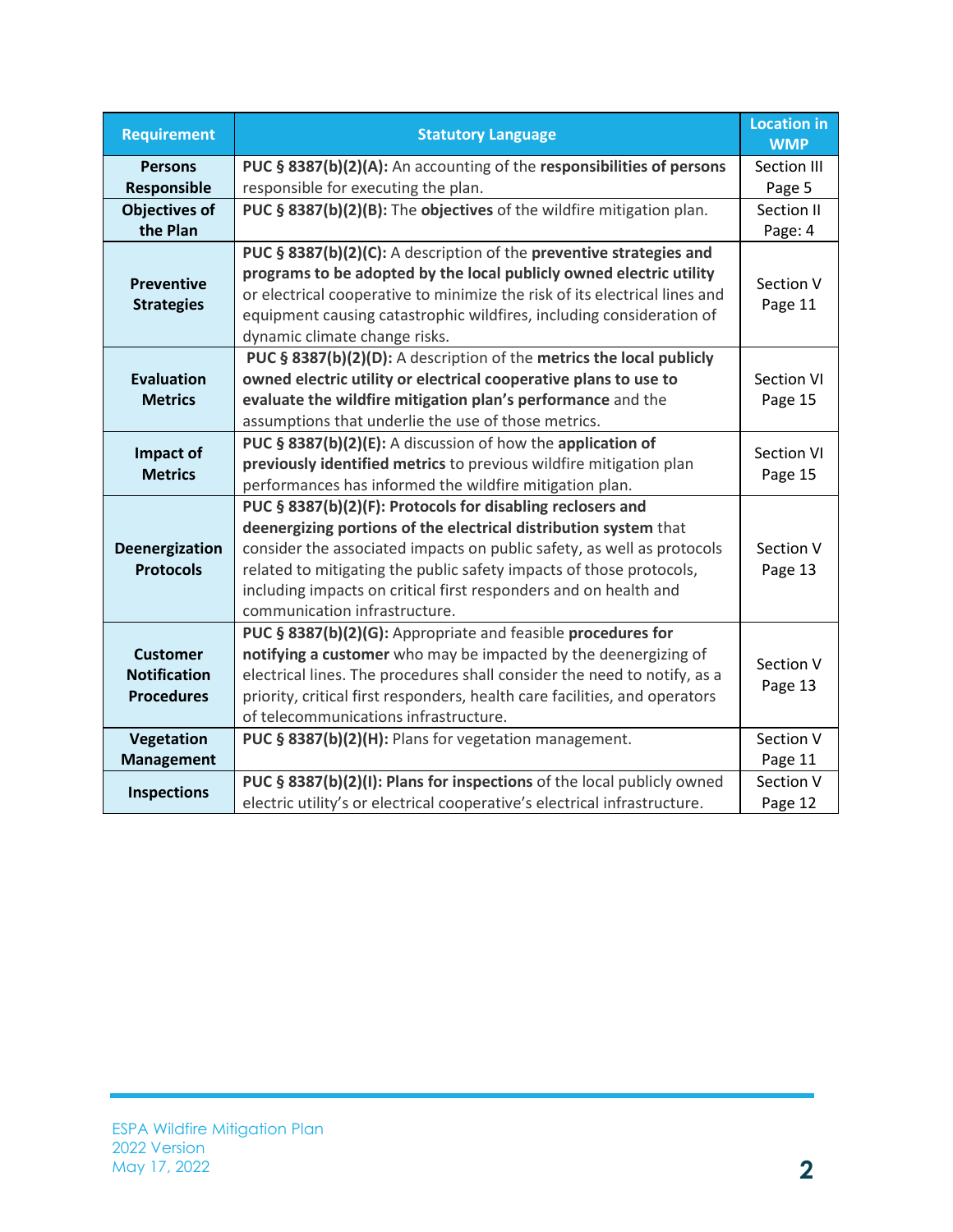| <b>Requirement</b>                                          | <b>Statutory Language</b>                                                                                                                                                                                                                                                                                                                                                            | <b>Location in</b><br><b>WMP</b> |
|-------------------------------------------------------------|--------------------------------------------------------------------------------------------------------------------------------------------------------------------------------------------------------------------------------------------------------------------------------------------------------------------------------------------------------------------------------------|----------------------------------|
| <b>Persons</b>                                              | PUC § 8387(b)(2)(A): An accounting of the responsibilities of persons                                                                                                                                                                                                                                                                                                                | Section III                      |
| Responsible                                                 | responsible for executing the plan.                                                                                                                                                                                                                                                                                                                                                  | Page 5                           |
| <b>Objectives of</b>                                        | PUC § 8387(b)(2)(B): The objectives of the wildfire mitigation plan.                                                                                                                                                                                                                                                                                                                 | Section II                       |
| the Plan                                                    |                                                                                                                                                                                                                                                                                                                                                                                      | Page: 4                          |
| <b>Preventive</b><br><b>Strategies</b>                      | PUC § 8387(b)(2)(C): A description of the preventive strategies and<br>programs to be adopted by the local publicly owned electric utility<br>or electrical cooperative to minimize the risk of its electrical lines and<br>equipment causing catastrophic wildfires, including consideration of<br>dynamic climate change risks.                                                    | Section V<br>Page 11             |
| <b>Evaluation</b><br><b>Metrics</b>                         | PUC § 8387(b)(2)(D): A description of the metrics the local publicly<br>owned electric utility or electrical cooperative plans to use to<br>evaluate the wildfire mitigation plan's performance and the<br>assumptions that underlie the use of those metrics.                                                                                                                       | Section VI<br>Page 15            |
| Impact of<br><b>Metrics</b>                                 | PUC § 8387(b)(2)(E): A discussion of how the application of<br>previously identified metrics to previous wildfire mitigation plan<br>performances has informed the wildfire mitigation plan.                                                                                                                                                                                         | <b>Section VI</b><br>Page 15     |
| <b>Deenergization</b><br><b>Protocols</b>                   | PUC § 8387(b)(2)(F): Protocols for disabling reclosers and<br>deenergizing portions of the electrical distribution system that<br>consider the associated impacts on public safety, as well as protocols<br>related to mitigating the public safety impacts of those protocols,<br>including impacts on critical first responders and on health and<br>communication infrastructure. | Section V<br>Page 13             |
| <b>Customer</b><br><b>Notification</b><br><b>Procedures</b> | PUC § 8387(b)(2)(G): Appropriate and feasible procedures for<br>notifying a customer who may be impacted by the deenergizing of<br>electrical lines. The procedures shall consider the need to notify, as a<br>priority, critical first responders, health care facilities, and operators<br>of telecommunications infrastructure.                                                   | Section V<br>Page 13             |
| Vegetation                                                  | PUC § 8387(b)(2)(H): Plans for vegetation management.                                                                                                                                                                                                                                                                                                                                | Section V                        |
| <b>Management</b>                                           |                                                                                                                                                                                                                                                                                                                                                                                      | Page 11                          |
| <b>Inspections</b>                                          | PUC § 8387(b)(2)(I): Plans for inspections of the local publicly owned<br>electric utility's or electrical cooperative's electrical infrastructure.                                                                                                                                                                                                                                  | Section V<br>Page 12             |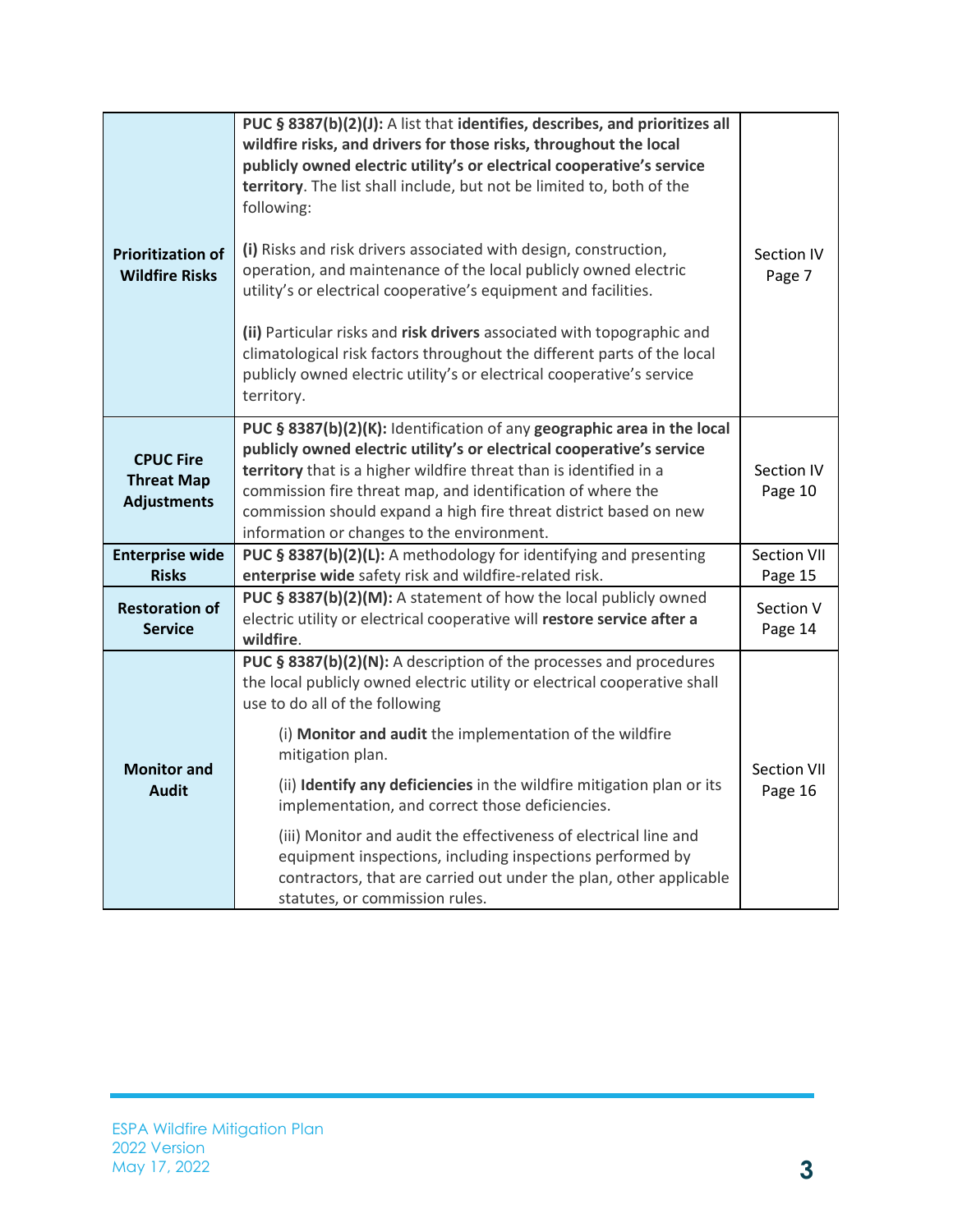| <b>Prioritization of</b><br><b>Wildfire Risks</b>           | PUC § 8387(b)(2)(J): A list that identifies, describes, and prioritizes all<br>wildfire risks, and drivers for those risks, throughout the local<br>publicly owned electric utility's or electrical cooperative's service<br>territory. The list shall include, but not be limited to, both of the<br>following:<br>(i) Risks and risk drivers associated with design, construction,<br>operation, and maintenance of the local publicly owned electric<br>utility's or electrical cooperative's equipment and facilities.<br>(ii) Particular risks and risk drivers associated with topographic and<br>climatological risk factors throughout the different parts of the local<br>publicly owned electric utility's or electrical cooperative's service<br>territory. | Section IV<br>Page 7   |
|-------------------------------------------------------------|------------------------------------------------------------------------------------------------------------------------------------------------------------------------------------------------------------------------------------------------------------------------------------------------------------------------------------------------------------------------------------------------------------------------------------------------------------------------------------------------------------------------------------------------------------------------------------------------------------------------------------------------------------------------------------------------------------------------------------------------------------------------|------------------------|
| <b>CPUC Fire</b><br><b>Threat Map</b><br><b>Adjustments</b> | PUC § 8387(b)(2)(K): Identification of any geographic area in the local<br>publicly owned electric utility's or electrical cooperative's service<br>territory that is a higher wildfire threat than is identified in a<br>commission fire threat map, and identification of where the<br>commission should expand a high fire threat district based on new<br>information or changes to the environment.                                                                                                                                                                                                                                                                                                                                                               | Section IV<br>Page 10  |
| <b>Enterprise wide</b><br><b>Risks</b>                      | PUC § 8387(b)(2)(L): A methodology for identifying and presenting<br>enterprise wide safety risk and wildfire-related risk.                                                                                                                                                                                                                                                                                                                                                                                                                                                                                                                                                                                                                                            | Section VII<br>Page 15 |
| <b>Restoration of</b><br><b>Service</b>                     | PUC § 8387(b)(2)(M): A statement of how the local publicly owned<br>electric utility or electrical cooperative will restore service after a<br>wildfire.                                                                                                                                                                                                                                                                                                                                                                                                                                                                                                                                                                                                               | Section V<br>Page 14   |
| <b>Monitor and</b><br><b>Audit</b>                          | PUC § 8387(b)(2)(N): A description of the processes and procedures<br>the local publicly owned electric utility or electrical cooperative shall<br>use to do all of the following<br>(i) Monitor and audit the implementation of the wildfire<br>mitigation plan.<br>(ii) Identify any deficiencies in the wildfire mitigation plan or its<br>implementation, and correct those deficiencies.<br>(iii) Monitor and audit the effectiveness of electrical line and<br>equipment inspections, including inspections performed by<br>contractors, that are carried out under the plan, other applicable<br>statutes, or commission rules.                                                                                                                                 | Section VII<br>Page 16 |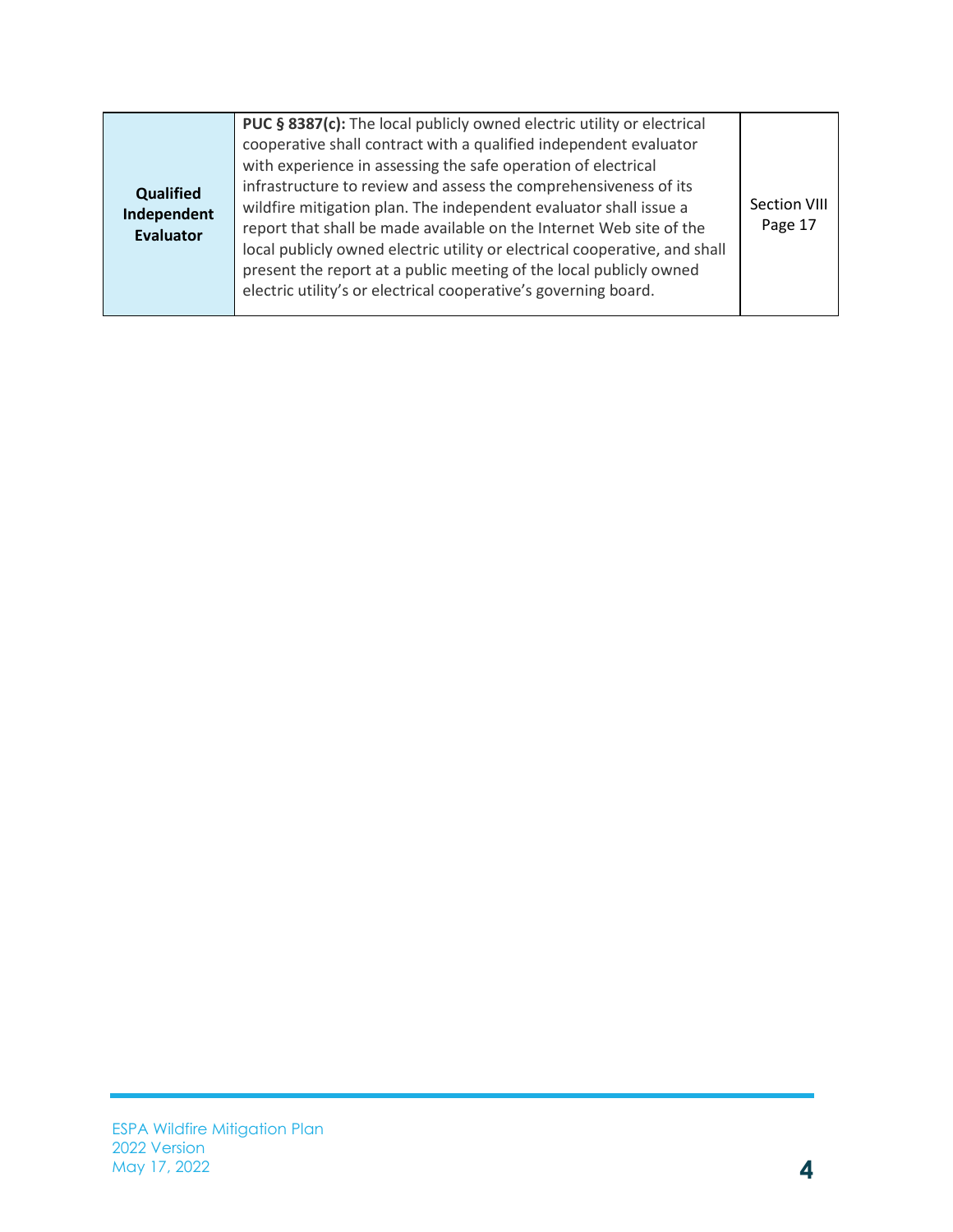| <b>Qualified</b><br>Independent<br><b>Evaluator</b> | PUC § 8387(c): The local publicly owned electric utility or electrical<br>cooperative shall contract with a qualified independent evaluator<br>with experience in assessing the safe operation of electrical<br>infrastructure to review and assess the comprehensiveness of its<br>wildfire mitigation plan. The independent evaluator shall issue a<br>report that shall be made available on the Internet Web site of the<br>local publicly owned electric utility or electrical cooperative, and shall<br>present the report at a public meeting of the local publicly owned<br>electric utility's or electrical cooperative's governing board. | Section VIII<br>Page 17 |
|-----------------------------------------------------|-----------------------------------------------------------------------------------------------------------------------------------------------------------------------------------------------------------------------------------------------------------------------------------------------------------------------------------------------------------------------------------------------------------------------------------------------------------------------------------------------------------------------------------------------------------------------------------------------------------------------------------------------------|-------------------------|
|-----------------------------------------------------|-----------------------------------------------------------------------------------------------------------------------------------------------------------------------------------------------------------------------------------------------------------------------------------------------------------------------------------------------------------------------------------------------------------------------------------------------------------------------------------------------------------------------------------------------------------------------------------------------------------------------------------------------------|-------------------------|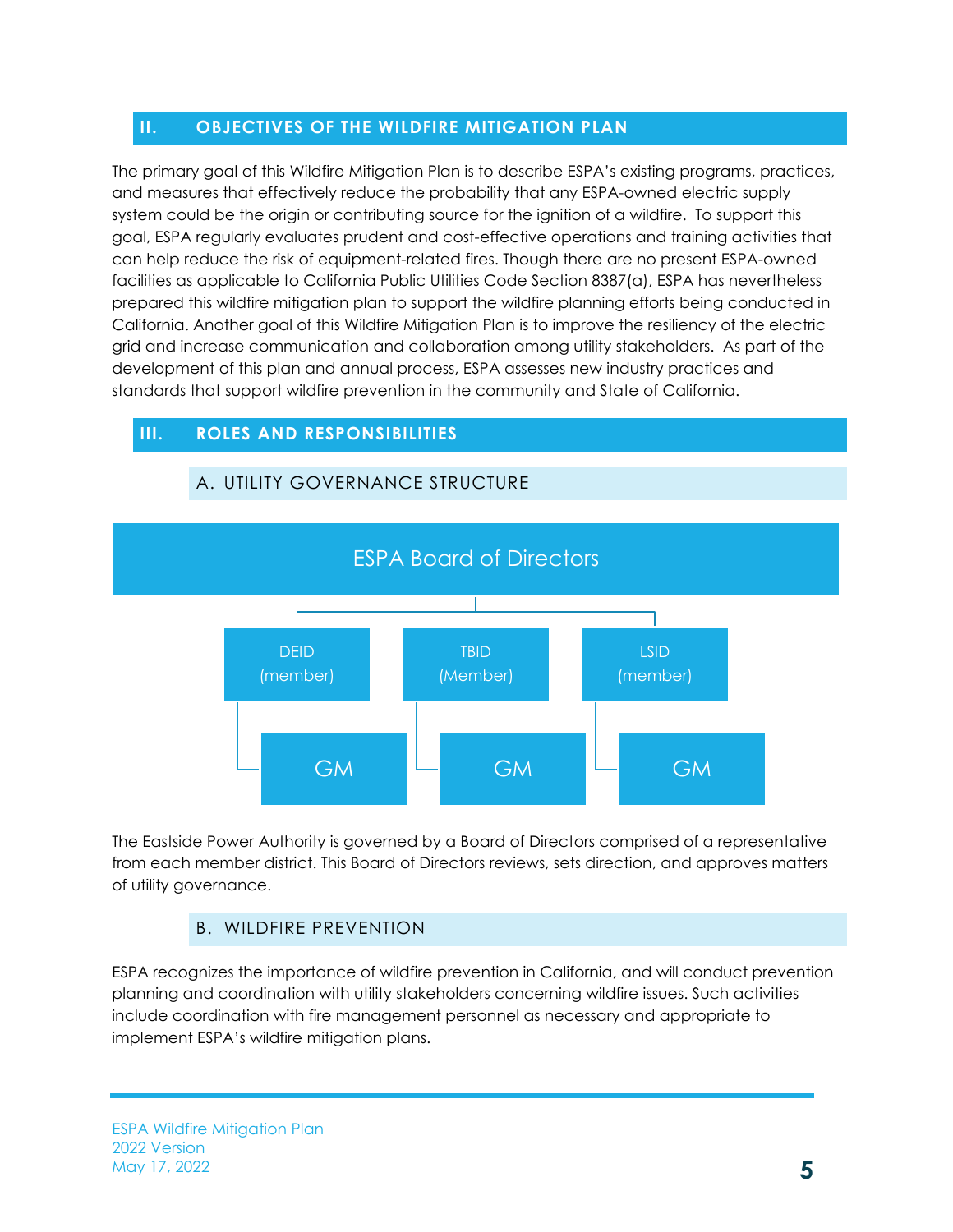# <span id="page-7-0"></span>**II. OBJECTIVES OF THE WILDFIRE MITIGATION PLAN**

The primary goal of this Wildfire Mitigation Plan is to describe ESPA's existing programs, practices, and measures that effectively reduce the probability that any ESPA-owned electric supply system could be the origin or contributing source for the ignition of a wildfire. To support this goal, ESPA regularly evaluates prudent and cost-effective operations and training activities that can help reduce the risk of equipment-related fires. Though there are no present ESPA-owned facilities as applicable to California Public Utilities Code Section 8387(a), ESPA has nevertheless prepared this wildfire mitigation plan to support the wildfire planning efforts being conducted in California. Another goal of this Wildfire Mitigation Plan is to improve the resiliency of the electric grid and increase communication and collaboration among utility stakeholders. As part of the development of this plan and annual process, ESPA assesses new industry practices and standards that support wildfire prevention in the community and State of California.

# <span id="page-7-2"></span><span id="page-7-1"></span>**III. ROLES AND RESPONSIBILITIES**



#### A. UTILITY GOVERNANCE STRUCTURE

The Eastside Power Authority is governed by a Board of Directors comprised of a representative from each member district. This Board of Directors reviews, sets direction, and approves matters of utility governance.

# B. WILDFIRE PREVENTION

<span id="page-7-3"></span>ESPA recognizes the importance of wildfire prevention in California, and will conduct prevention planning and coordination with utility stakeholders concerning wildfire issues. Such activities include coordination with fire management personnel as necessary and appropriate to implement ESPA's wildfire mitigation plans.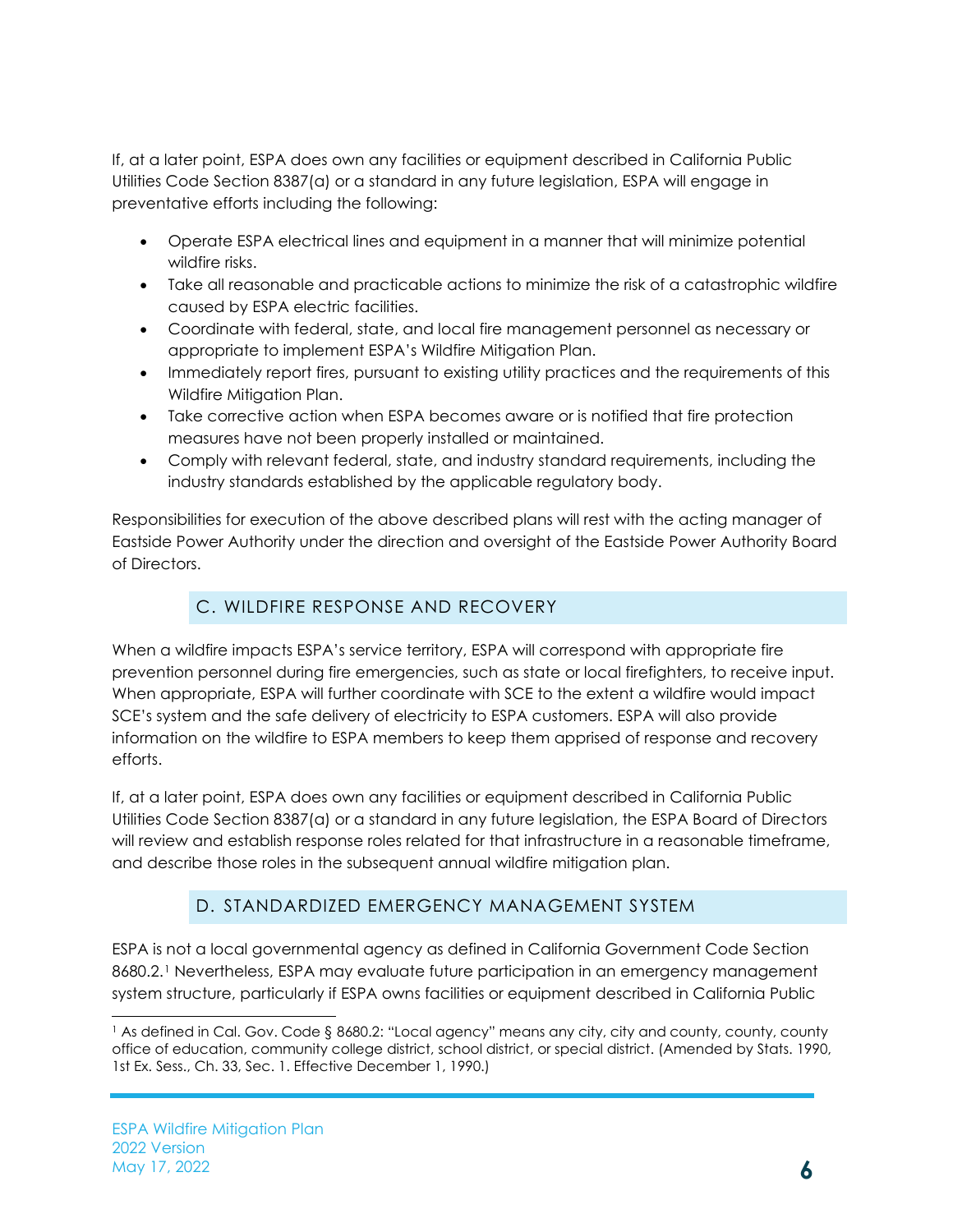If, at a later point, ESPA does own any facilities or equipment described in California Public Utilities Code Section 8387(a) or a standard in any future legislation, ESPA will engage in preventative efforts including the following:

- Operate ESPA electrical lines and equipment in a manner that will minimize potential wildfire risks.
- Take all reasonable and practicable actions to minimize the risk of a catastrophic wildfire caused by ESPA electric facilities.
- Coordinate with federal, state, and local fire management personnel as necessary or appropriate to implement ESPA's Wildfire Mitigation Plan.
- Immediately report fires, pursuant to existing utility practices and the requirements of this Wildfire Mitigation Plan.
- Take corrective action when ESPA becomes aware or is notified that fire protection measures have not been properly installed or maintained.
- Comply with relevant federal, state, and industry standard requirements, including the industry standards established by the applicable regulatory body.

Responsibilities for execution of the above described plans will rest with the acting manager of Eastside Power Authority under the direction and oversight of the Eastside Power Authority Board of Directors.

# C. WILDFIRE RESPONSE AND RECOVERY

<span id="page-8-0"></span>When a wildfire impacts ESPA's service territory, ESPA will correspond with appropriate fire prevention personnel during fire emergencies, such as state or local firefighters, to receive input. When appropriate, ESPA will further coordinate with SCE to the extent a wildfire would impact SCE's system and the safe delivery of electricity to ESPA customers. ESPA will also provide information on the wildfire to ESPA members to keep them apprised of response and recovery efforts.

If, at a later point, ESPA does own any facilities or equipment described in California Public Utilities Code Section 8387(a) or a standard in any future legislation, the ESPA Board of Directors will review and establish response roles related for that infrastructure in a reasonable timeframe, and describe those roles in the subsequent annual wildfire mitigation plan.

# D. STANDARDIZED EMERGENCY MANAGEMENT SYSTEM

<span id="page-8-1"></span>ESPA is not a local governmental agency as defined in California Government Code Section 8680.2.<sup>[1](#page-8-2)</sup> Nevertheless, ESPA may evaluate future participation in an emergency management system structure, particularly if ESPA owns facilities or equipment described in California Public

<span id="page-8-2"></span><sup>1</sup> As defined in Cal. Gov. Code § 8680.2: "Local agency" means any city, city and county, county, county office of education, community college district, school district, or special district. (Amended by Stats. 1990, 1st Ex. Sess., Ch. 33, Sec. 1. Effective December 1, 1990.)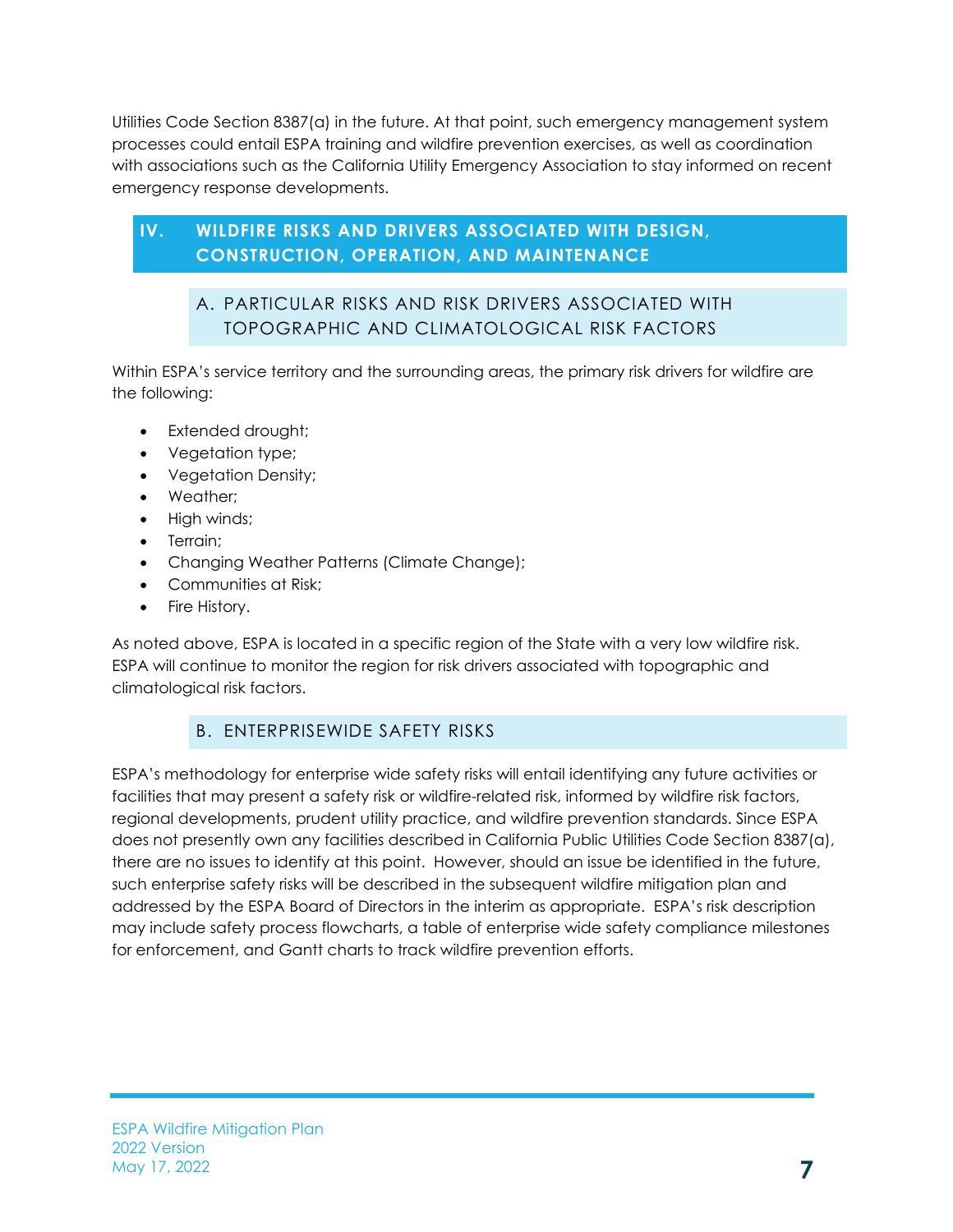Utilities Code Section 8387(a) in the future. At that point, such emergency management system processes could entail ESPA training and wildfire prevention exercises, as well as coordination with associations such as the California Utility Emergency Association to stay informed on recent emergency response developments.

# <span id="page-9-1"></span><span id="page-9-0"></span>**IV. WILDFIRE RISKS AND DRIVERS ASSOCIATED WITH DESIGN, CONSTRUCTION, OPERATION, AND MAINTENANCE**

# A. PARTICULAR RISKS AND RISK DRIVERS ASSOCIATED WITH TOPOGRAPHIC AND CLIMATOLOGICAL RISK FACTORS

Within ESPA's service territory and the surrounding areas, the primary risk drivers for wildfire are the following:

- Extended drought;
- Vegetation type;
- Vegetation Density;
- Weather;
- High winds;
- Terrain;
- Changing Weather Patterns (Climate Change);
- Communities at Risk;
- Fire History.

As noted above, ESPA is located in a specific region of the State with a very low wildfire risk. ESPA will continue to monitor the region for risk drivers associated with topographic and climatological risk factors.

# B. ENTERPRISEWIDE SAFETY RISKS

<span id="page-9-2"></span>ESPA's methodology for enterprise wide safety risks will entail identifying any future activities or facilities that may present a safety risk or wildfire-related risk, informed by wildfire risk factors, regional developments, prudent utility practice, and wildfire prevention standards. Since ESPA does not presently own any facilities described in California Public Utilities Code Section 8387(a), there are no issues to identify at this point. However, should an issue be identified in the future, such enterprise safety risks will be described in the subsequent wildfire mitigation plan and addressed by the ESPA Board of Directors in the interim as appropriate. ESPA's risk description may include safety process flowcharts, a table of enterprise wide safety compliance milestones for enforcement, and Gantt charts to track wildfire prevention efforts.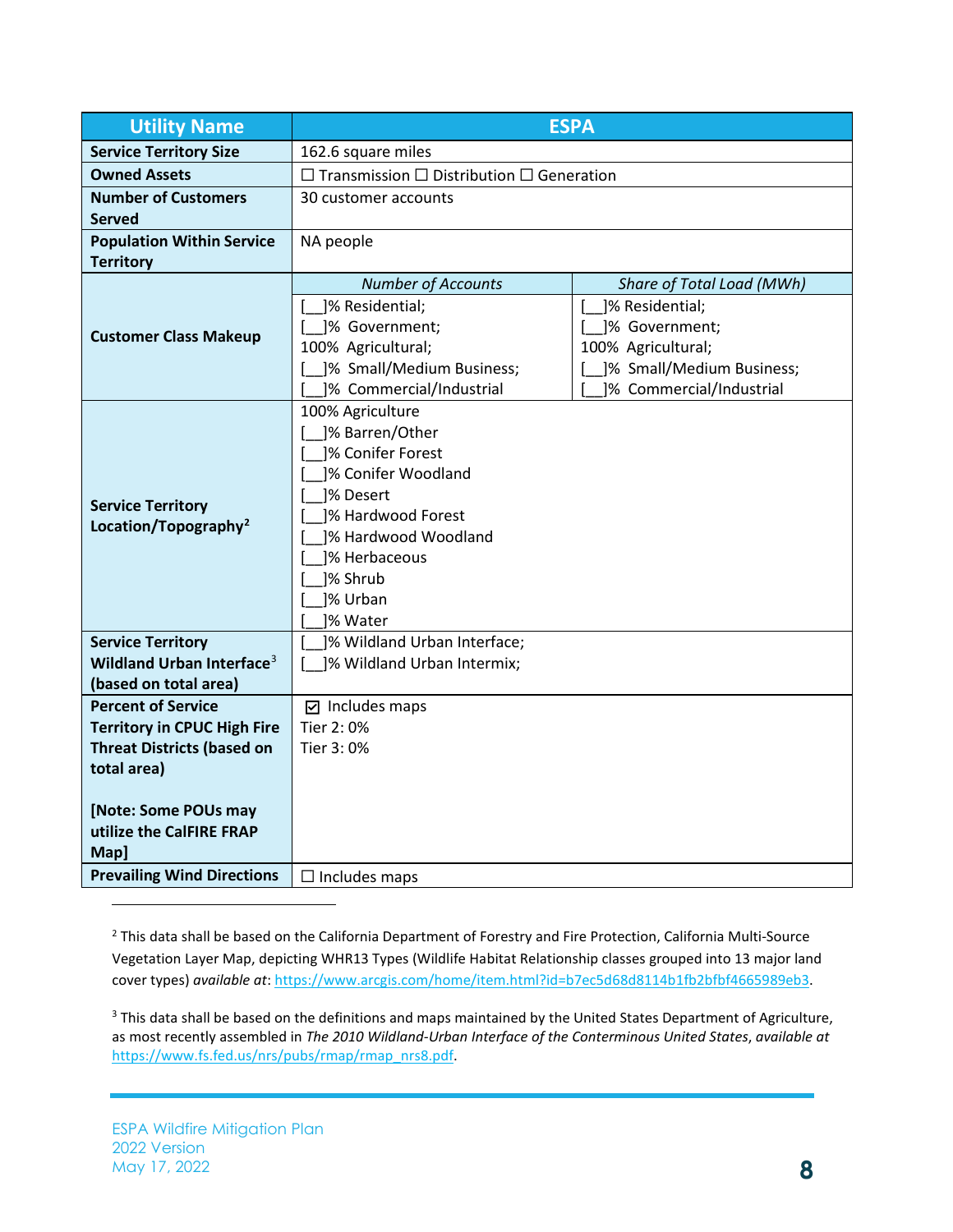| <b>Utility Name</b>                   | <b>ESPA</b>                                               |                           |  |  |
|---------------------------------------|-----------------------------------------------------------|---------------------------|--|--|
| <b>Service Territory Size</b>         | 162.6 square miles                                        |                           |  |  |
| <b>Owned Assets</b>                   | $\Box$ Transmission $\Box$ Distribution $\Box$ Generation |                           |  |  |
| <b>Number of Customers</b>            | 30 customer accounts                                      |                           |  |  |
| <b>Served</b>                         |                                                           |                           |  |  |
| <b>Population Within Service</b>      | NA people                                                 |                           |  |  |
| <b>Territory</b>                      |                                                           |                           |  |  |
|                                       | <b>Number of Accounts</b>                                 | Share of Total Load (MWh) |  |  |
|                                       | ]% Residential;                                           | ]% Residential;           |  |  |
| <b>Customer Class Makeup</b>          | ]% Government;                                            | ]% Government;            |  |  |
|                                       | 100% Agricultural;                                        | 100% Agricultural;        |  |  |
|                                       | ]% Small/Medium Business;                                 | ]% Small/Medium Business; |  |  |
|                                       | ]% Commercial/Industrial                                  | ]% Commercial/Industrial  |  |  |
|                                       | 100% Agriculture                                          |                           |  |  |
|                                       | ]% Barren/Other                                           |                           |  |  |
|                                       | 1% Conifer Forest                                         |                           |  |  |
|                                       | ]% Conifer Woodland                                       |                           |  |  |
|                                       | 1% Desert                                                 |                           |  |  |
| <b>Service Territory</b>              | 1% Hardwood Forest                                        |                           |  |  |
| Location/Topography <sup>2</sup>      | 1% Hardwood Woodland                                      |                           |  |  |
|                                       | 1% Herbaceous                                             |                           |  |  |
|                                       | ]% Shrub                                                  |                           |  |  |
|                                       | ]% Urban                                                  |                           |  |  |
|                                       | 1% Water                                                  |                           |  |  |
| <b>Service Territory</b>              | ]% Wildland Urban Interface;                              |                           |  |  |
| Wildland Urban Interface <sup>3</sup> | ]% Wildland Urban Intermix;                               |                           |  |  |
| (based on total area)                 |                                                           |                           |  |  |
| <b>Percent of Service</b>             | $\boxdot$ Includes maps                                   |                           |  |  |
| <b>Territory in CPUC High Fire</b>    | Tier 2: 0%                                                |                           |  |  |
| <b>Threat Districts (based on</b>     | Tier 3:0%                                                 |                           |  |  |
| total area)                           |                                                           |                           |  |  |
|                                       |                                                           |                           |  |  |
| [Note: Some POUs may                  |                                                           |                           |  |  |
| utilize the CalFIRE FRAP              |                                                           |                           |  |  |
| Map]                                  |                                                           |                           |  |  |
| <b>Prevailing Wind Directions</b>     | $\Box$ Includes maps                                      |                           |  |  |

<span id="page-10-0"></span><sup>2</sup> This data shall be based on the California Department of Forestry and Fire Protection, California Multi-Source Vegetation Layer Map, depicting WHR13 Types (Wildlife Habitat Relationship classes grouped into 13 major land cover types) *available at*[: https://www.arcgis.com/home/item.html?id=b7ec5d68d8114b1fb2bfbf4665989eb3.](https://www.arcgis.com/home/item.html?id=b7ec5d68d8114b1fb2bfbf4665989eb3) 

<span id="page-10-1"></span><sup>3</sup> This data shall be based on the definitions and maps maintained by the United States Department of Agriculture, as most recently assembled in *The 2010 Wildland-Urban Interface of the Conterminous United States*, *available at* [https://www.fs.fed.us/nrs/pubs/rmap/rmap\\_nrs8.pdf.](https://www.fs.fed.us/nrs/pubs/rmap/rmap_nrs8.pdf)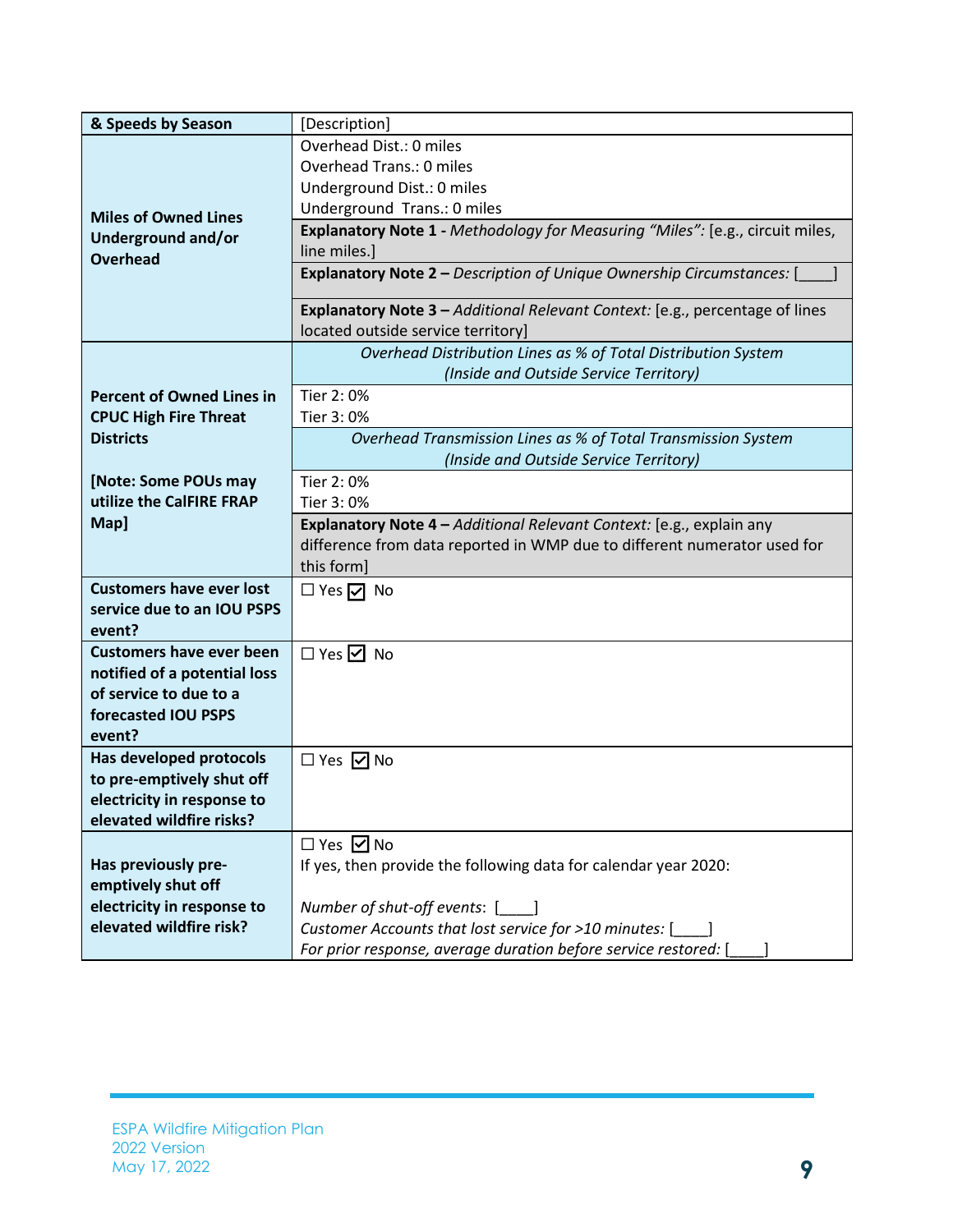| & Speeds by Season               | [Description]                                                                 |  |  |
|----------------------------------|-------------------------------------------------------------------------------|--|--|
|                                  | Overhead Dist.: 0 miles                                                       |  |  |
|                                  | Overhead Trans.: 0 miles                                                      |  |  |
|                                  | Underground Dist.: 0 miles                                                    |  |  |
| <b>Miles of Owned Lines</b>      | Underground Trans.: 0 miles                                                   |  |  |
| <b>Underground and/or</b>        | Explanatory Note 1 - Methodology for Measuring "Miles": [e.g., circuit miles, |  |  |
| <b>Overhead</b>                  | line miles.]                                                                  |  |  |
|                                  | <b>Explanatory Note 2 - Description of Unique Ownership Circumstances:</b>    |  |  |
|                                  | Explanatory Note 3 - Additional Relevant Context: [e.g., percentage of lines  |  |  |
|                                  | located outside service territory]                                            |  |  |
|                                  | Overhead Distribution Lines as % of Total Distribution System                 |  |  |
|                                  | (Inside and Outside Service Territory)                                        |  |  |
| <b>Percent of Owned Lines in</b> | Tier 2:0%                                                                     |  |  |
| <b>CPUC High Fire Threat</b>     | Tier 3:0%                                                                     |  |  |
| <b>Districts</b>                 | Overhead Transmission Lines as % of Total Transmission System                 |  |  |
|                                  | (Inside and Outside Service Territory)                                        |  |  |
| [Note: Some POUs may             | Tier 2:0%                                                                     |  |  |
| utilize the CalFIRE FRAP         | Tier 3:0%                                                                     |  |  |
| Map]                             | Explanatory Note 4 - Additional Relevant Context: [e.g., explain any          |  |  |
|                                  | difference from data reported in WMP due to different numerator used for      |  |  |
|                                  | this form]                                                                    |  |  |
| <b>Customers have ever lost</b>  | $\Box$ Yes $\Box$ No                                                          |  |  |
| service due to an IOU PSPS       |                                                                               |  |  |
| event?                           |                                                                               |  |  |
| <b>Customers have ever been</b>  | $\Box$ Yes $\Box$ No                                                          |  |  |
| notified of a potential loss     |                                                                               |  |  |
| of service to due to a           |                                                                               |  |  |
| forecasted IOU PSPS              |                                                                               |  |  |
| event?                           |                                                                               |  |  |
| Has developed protocols          | $\Box$ Yes $\Box$ No                                                          |  |  |
| to pre-emptively shut off        |                                                                               |  |  |
| electricity in response to       |                                                                               |  |  |
| elevated wildfire risks?         |                                                                               |  |  |
|                                  | $\Box$ Yes $\Box$ No                                                          |  |  |
| Has previously pre-              | If yes, then provide the following data for calendar year 2020:               |  |  |
| emptively shut off               |                                                                               |  |  |
| electricity in response to       | Number of shut-off events: [1699]                                             |  |  |
| elevated wildfire risk?          | Customer Accounts that lost service for >10 minutes: [                        |  |  |
|                                  | For prior response, average duration before service restored: [               |  |  |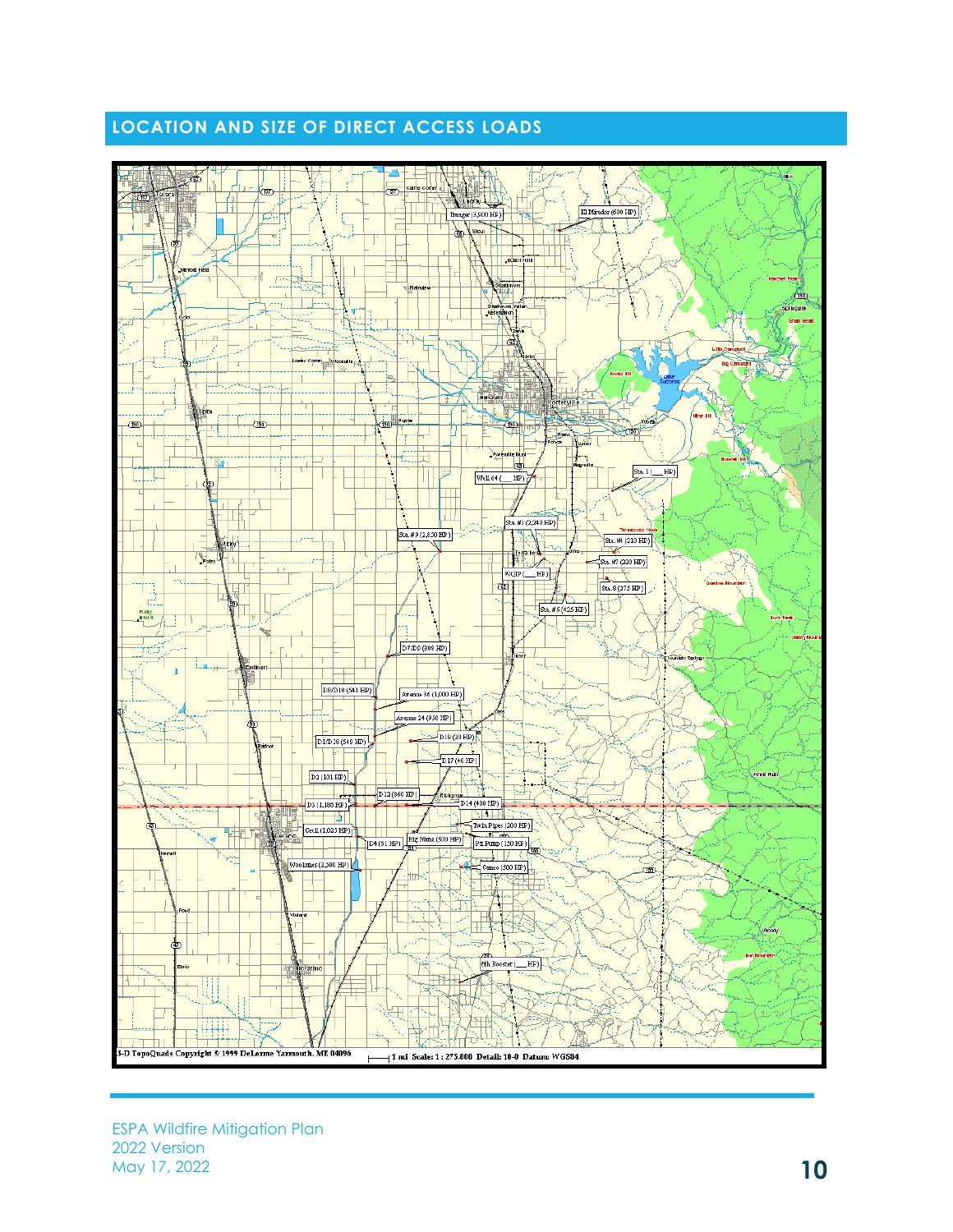# **LOCATION AND SIZE OF DIRECT ACCESS LOADS**

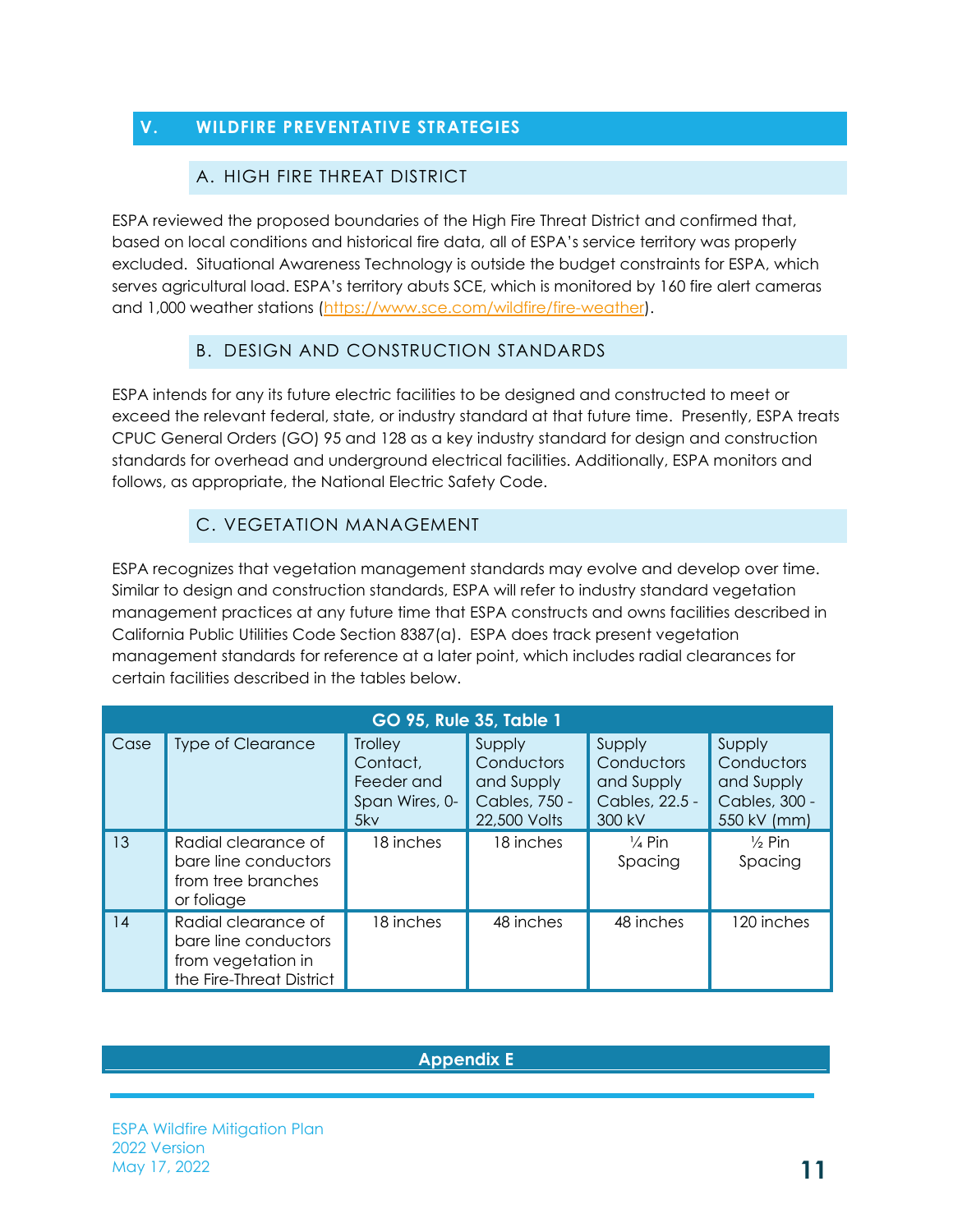# <span id="page-13-1"></span><span id="page-13-0"></span>**V. WILDFIRE PREVENTATIVE STRATEGIES**

#### A. HIGH FIRE THREAT DISTRICT

ESPA reviewed the proposed boundaries of the High Fire Threat District and confirmed that, based on local conditions and historical fire data, all of ESPA's service territory was properly excluded. Situational Awareness Technology is outside the budget constraints for ESPA, which serves agricultural load. ESPA's territory abuts SCE, which is monitored by 160 fire alert cameras and 1,000 weather stations [\(https://www.sce.com/wildfire/fire-weather\)](https://www.sce.com/wildfire/fire-weather).

#### B. DESIGN AND CONSTRUCTION STANDARDS

<span id="page-13-2"></span>ESPA intends for any its future electric facilities to be designed and constructed to meet or exceed the relevant federal, state, or industry standard at that future time. Presently, ESPA treats CPUC General Orders (GO) 95 and 128 as a key industry standard for design and construction standards for overhead and underground electrical facilities. Additionally, ESPA monitors and follows, as appropriate, the National Electric Safety Code.

#### C. VEGETATION MANAGEMENT

<span id="page-13-3"></span>ESPA recognizes that vegetation management standards may evolve and develop over time. Similar to design and construction standards, ESPA will refer to industry standard vegetation management practices at any future time that ESPA constructs and owns facilities described in California Public Utilities Code Section 8387(a). ESPA does track present vegetation management standards for reference at a later point, which includes radial clearances for certain facilities described in the tables below.

| <b>GO 95, Rule 35, Table 1</b> |                                                                                               |                                                            |                                                                     |                                                                |                                                                    |
|--------------------------------|-----------------------------------------------------------------------------------------------|------------------------------------------------------------|---------------------------------------------------------------------|----------------------------------------------------------------|--------------------------------------------------------------------|
| Case                           | <b>Type of Clearance</b>                                                                      | Trolley<br>Contact,<br>Feeder and<br>Span Wires, 0-<br>5kv | Supply<br>Conductors<br>and Supply<br>Cables, 750 -<br>22,500 Volts | Supply<br>Conductors<br>and Supply<br>Cables, 22.5 -<br>300 kV | Supply<br>Conductors<br>and Supply<br>Cables, 300 -<br>550 kV (mm) |
| 13                             | Radial clearance of<br>bare line conductors<br>from tree branches<br>or foliage               | 18 inches                                                  | 18 inches                                                           | $\frac{1}{4}$ Pin<br>Spacing                                   | $\frac{1}{2}$ Pin<br>Spacing                                       |
| 14                             | Radial clearance of<br>bare line conductors<br>from vegetation in<br>the Fire-Threat District | 18 inches                                                  | 48 inches                                                           | 48 inches                                                      | 120 inches                                                         |

#### **Appendix E**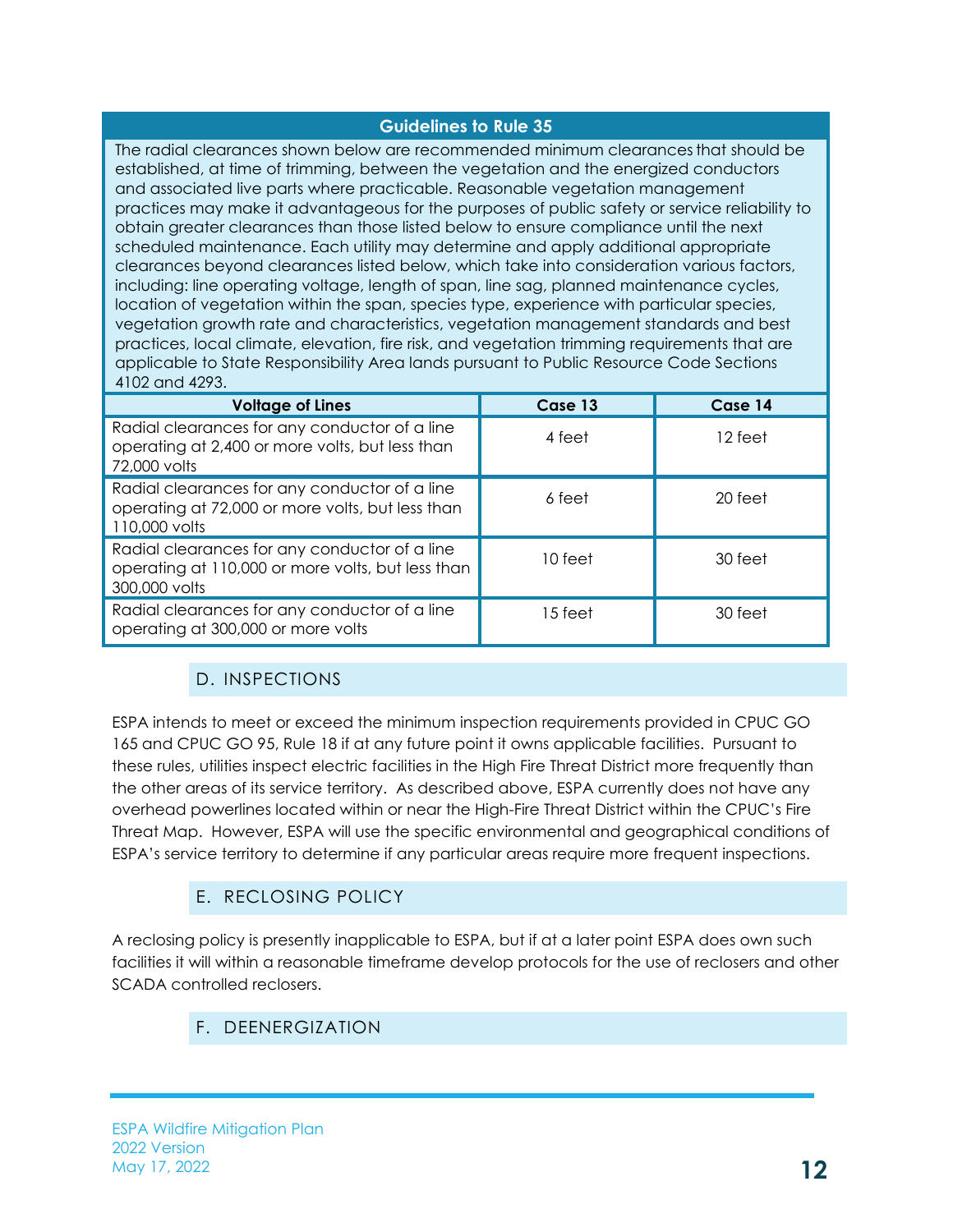#### **Guidelines to Rule 35**

The radial clearances shown below are recommended minimum clearancesthat should be established, at time of trimming, between the vegetation and the energized conductors and associated live parts where practicable. Reasonable vegetation management practices may make it advantageous for the purposes of public safety or service reliability to obtain greater clearances than those listed below to ensure compliance until the next scheduled maintenance. Each utility may determine and apply additional appropriate clearances beyond clearances listed below, which take into consideration various factors, including: line operating voltage, length of span, line sag, planned maintenance cycles, location of vegetation within the span, species type, experience with particular species, vegetation growth rate and characteristics, vegetation management standards and best practices, local climate, elevation, fire risk, and vegetation trimming requirements that are applicable to State Responsibility Area lands pursuant to Public Resource Code Sections 4102 and 4293.

| <b>Voltage of Lines</b>                                                                                             | Case 13   | Case 14 |
|---------------------------------------------------------------------------------------------------------------------|-----------|---------|
| Radial clearances for any conductor of a line<br>operating at 2,400 or more volts, but less than<br>72,000 volts    | 4 feet    | 12 feet |
| Radial clearances for any conductor of a line<br>operating at 72,000 or more volts, but less than<br>110,000 volts  | 6 feet    | 20 feet |
| Radial clearances for any conductor of a line<br>operating at 110,000 or more volts, but less than<br>300,000 volts | $10$ feet | 30 feet |
| Radial clearances for any conductor of a line<br>operating at 300,000 or more volts                                 | 15 feet   | 30 feet |

# D. INSPECTIONS

<span id="page-14-0"></span>ESPA intends to meet or exceed the minimum inspection requirements provided in CPUC GO 165 and CPUC GO 95, Rule 18 if at any future point it owns applicable facilities. Pursuant to these rules, utilities inspect electric facilities in the High Fire Threat District more frequently than the other areas of its service territory. As described above, ESPA currently does not have any overhead powerlines located within or near the High-Fire Threat District within the CPUC's Fire Threat Map. However, ESPA will use the specific environmental and geographical conditions of ESPA's service territory to determine if any particular areas require more frequent inspections.

# E. RECLOSING POLICY

<span id="page-14-2"></span><span id="page-14-1"></span>A reclosing policy is presently inapplicable to ESPA, but if at a later point ESPA does own such facilities it will within a reasonable timeframe develop protocols for the use of reclosers and other SCADA controlled reclosers.

# F. DEENERGIZATION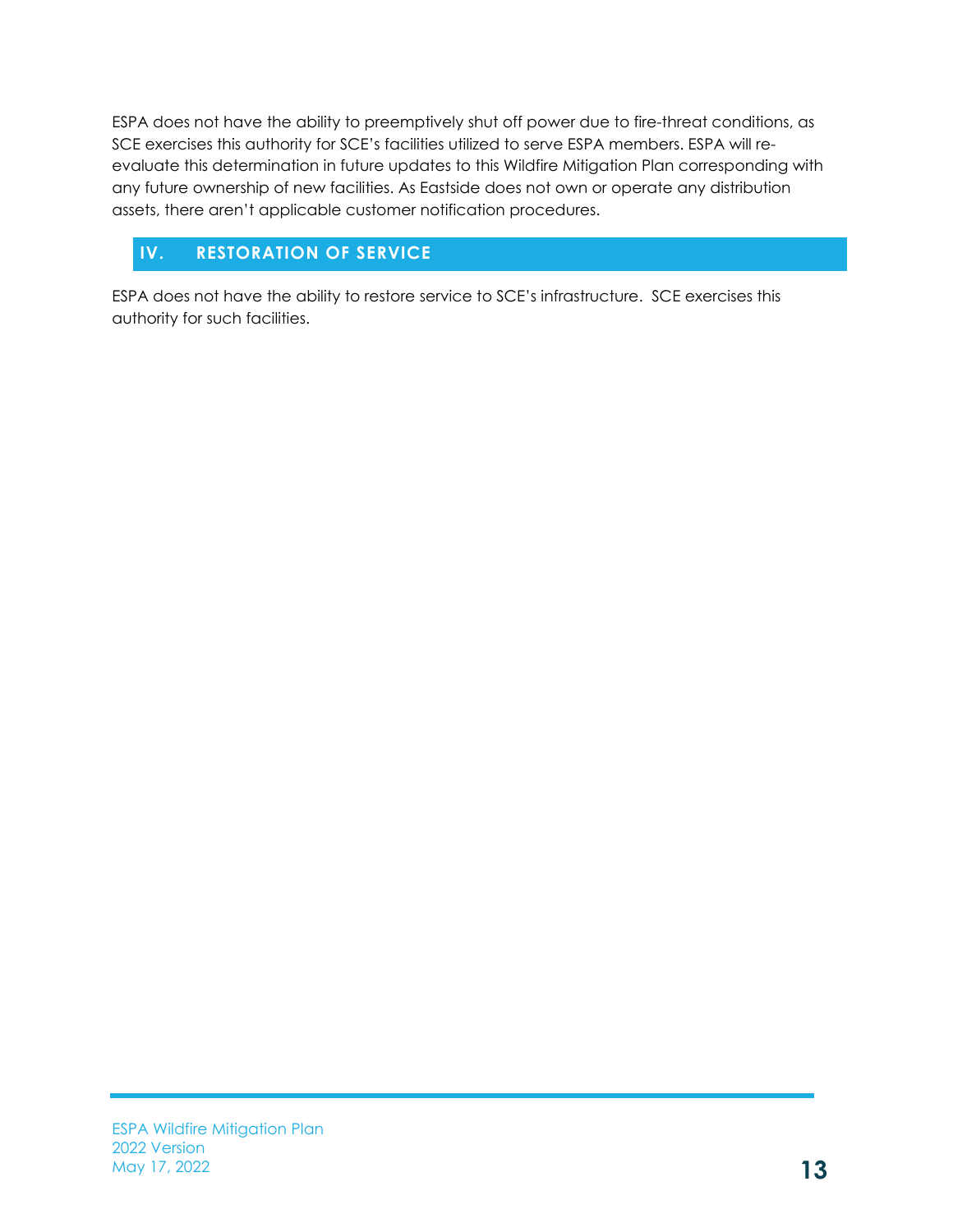ESPA does not have the ability to preemptively shut off power due to fire-threat conditions, as SCE exercises this authority for SCE's facilities utilized to serve ESPA members. ESPA will reevaluate this determination in future updates to this Wildfire Mitigation Plan corresponding with any future ownership of new facilities. As Eastside does not own or operate any distribution assets, there aren't applicable customer notification procedures.

# **IV. RESTORATION OF SERVICE**

ESPA does not have the ability to restore service to SCE's infrastructure. SCE exercises this authority for such facilities.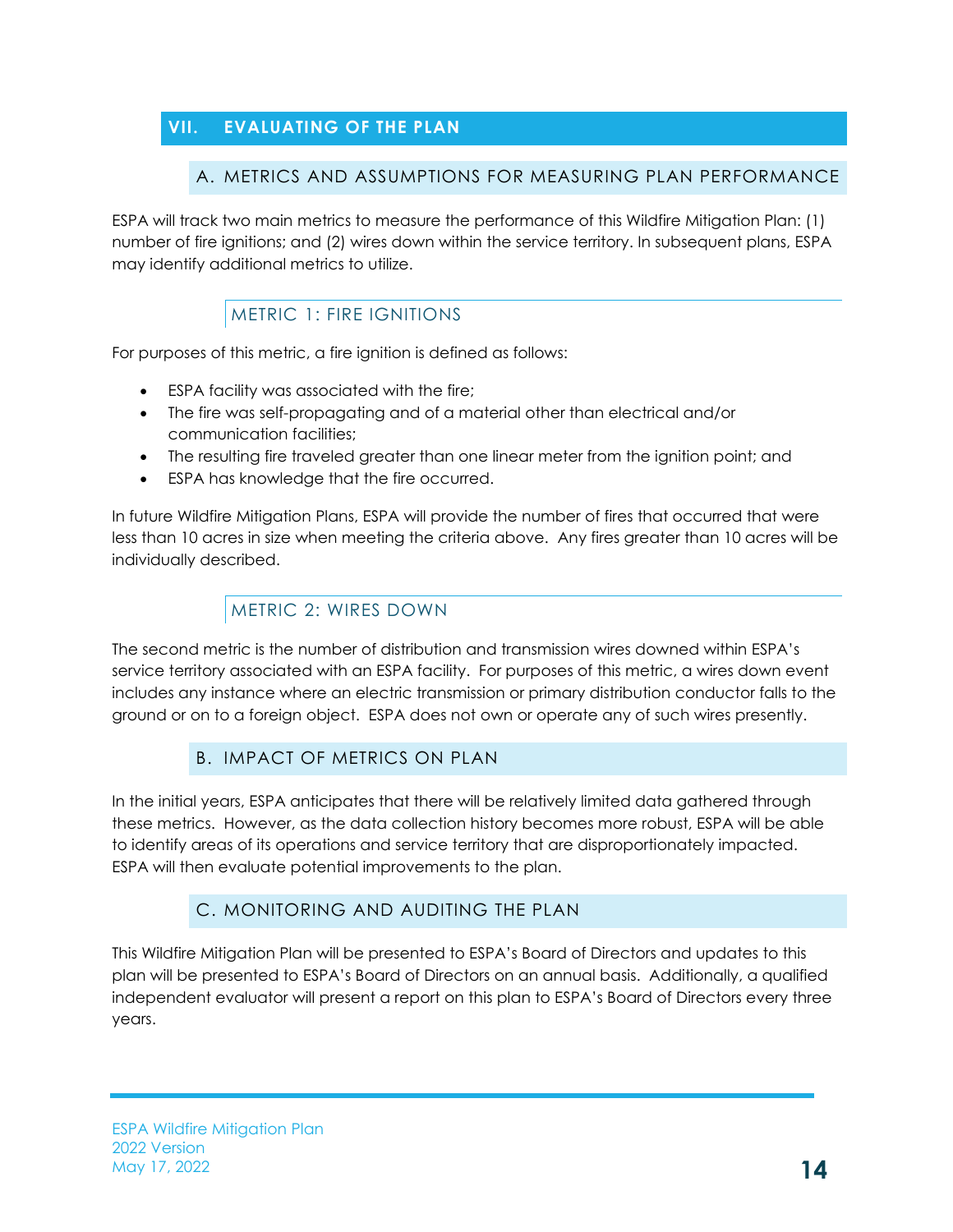# <span id="page-16-2"></span><span id="page-16-1"></span><span id="page-16-0"></span>**VII. EVALUATING OF THE PLAN**

# A. METRICS AND ASSUMPTIONS FOR MEASURING PLAN PERFORMANCE

ESPA will track two main metrics to measure the performance of this Wildfire Mitigation Plan: (1) number of fire ignitions; and (2) wires down within the service territory. In subsequent plans, ESPA may identify additional metrics to utilize.

# METRIC 1: FIRE IGNITIONS

<span id="page-16-3"></span>For purposes of this metric, a fire ignition is defined as follows:

- ESPA facility was associated with the fire;
- The fire was self-propagating and of a material other than electrical and/or communication facilities;
- The resulting fire traveled greater than one linear meter from the ignition point; and
- ESPA has knowledge that the fire occurred.

In future Wildfire Mitigation Plans, ESPA will provide the number of fires that occurred that were less than 10 acres in size when meeting the criteria above. Any fires greater than 10 acres will be individually described.

# METRIC 2: WIRES DOWN

<span id="page-16-4"></span>The second metric is the number of distribution and transmission wires downed within ESPA's service territory associated with an ESPA facility. For purposes of this metric, a wires down event includes any instance where an electric transmission or primary distribution conductor falls to the ground or on to a foreign object. ESPA does not own or operate any of such wires presently.

# B. IMPACT OF METRICS ON PLAN

<span id="page-16-5"></span>In the initial years, ESPA anticipates that there will be relatively limited data gathered through these metrics. However, as the data collection history becomes more robust, ESPA will be able to identify areas of its operations and service territory that are disproportionately impacted. ESPA will then evaluate potential improvements to the plan.

# C. MONITORING AND AUDITING THE PLAN

<span id="page-16-6"></span>This Wildfire Mitigation Plan will be presented to ESPA's Board of Directors and updates to this plan will be presented to ESPA's Board of Directors on an annual basis. Additionally, a qualified independent evaluator will present a report on this plan to ESPA's Board of Directors every three years.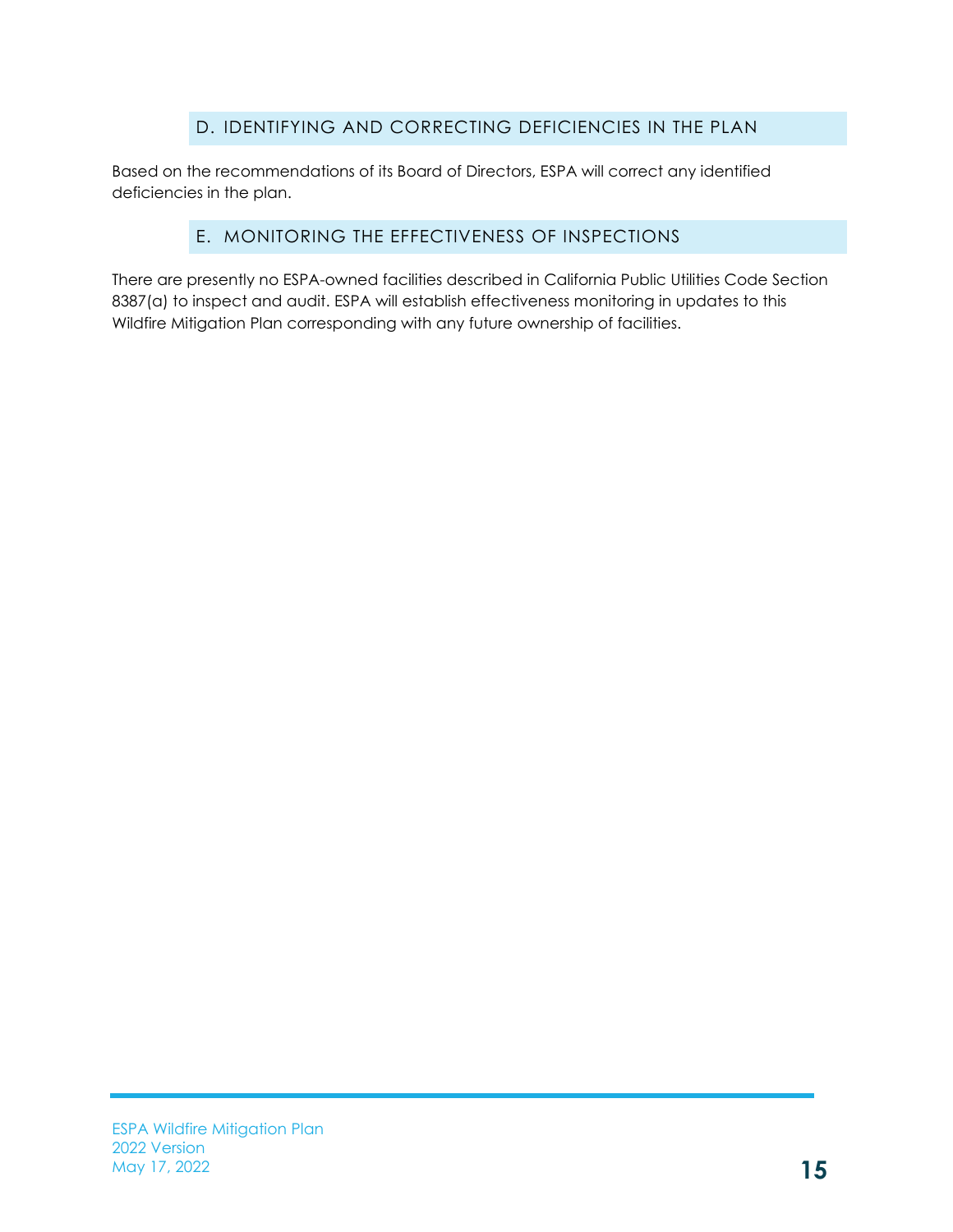# D. IDENTIFYING AND CORRECTING DEFICIENCIES IN THE PLAN

<span id="page-17-0"></span>Based on the recommendations of its Board of Directors, ESPA will correct any identified deficiencies in the plan.

# E. MONITORING THE EFFECTIVENESS OF INSPECTIONS

<span id="page-17-1"></span>There are presently no ESPA-owned facilities described in California Public Utilities Code Section 8387(a) to inspect and audit. ESPA will establish effectiveness monitoring in updates to this Wildfire Mitigation Plan corresponding with any future ownership of facilities.